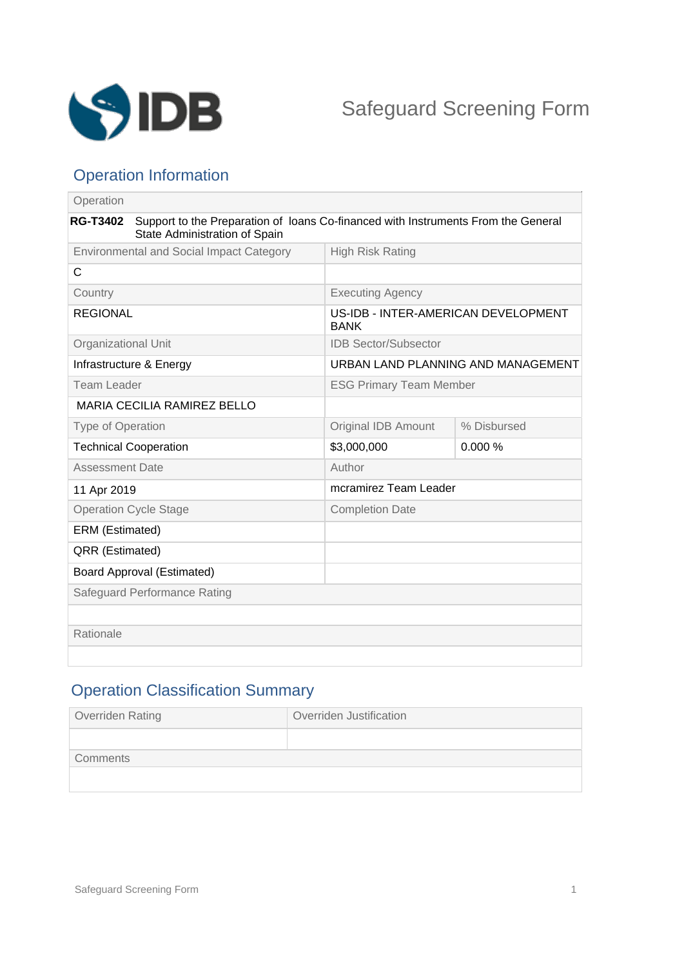

## Operation Information

| Operation                                       |                                                                                                                    |                                                    |             |
|-------------------------------------------------|--------------------------------------------------------------------------------------------------------------------|----------------------------------------------------|-------------|
| <b>RG-T3402</b>                                 | Support to the Preparation of loans Co-financed with Instruments From the General<br>State Administration of Spain |                                                    |             |
| <b>Environmental and Social Impact Category</b> |                                                                                                                    | <b>High Risk Rating</b>                            |             |
| C                                               |                                                                                                                    |                                                    |             |
| Country                                         |                                                                                                                    | <b>Executing Agency</b>                            |             |
| <b>REGIONAL</b>                                 |                                                                                                                    | US-IDB - INTER-AMERICAN DEVELOPMENT<br><b>BANK</b> |             |
| Organizational Unit                             |                                                                                                                    | <b>IDB Sector/Subsector</b>                        |             |
| Infrastructure & Energy                         |                                                                                                                    | URBAN LAND PLANNING AND MANAGEMENT                 |             |
| <b>Team Leader</b>                              |                                                                                                                    | <b>ESG Primary Team Member</b>                     |             |
| <b>MARIA CECILIA RAMIREZ BELLO</b>              |                                                                                                                    |                                                    |             |
| <b>Type of Operation</b>                        |                                                                                                                    | <b>Original IDB Amount</b>                         | % Disbursed |
| <b>Technical Cooperation</b>                    |                                                                                                                    | \$3,000,000                                        | 0.000%      |
| <b>Assessment Date</b>                          |                                                                                                                    | Author                                             |             |
| 11 Apr 2019                                     |                                                                                                                    | mcramirez Team Leader                              |             |
| <b>Operation Cycle Stage</b>                    |                                                                                                                    | <b>Completion Date</b>                             |             |
| ERM (Estimated)                                 |                                                                                                                    |                                                    |             |
| QRR (Estimated)                                 |                                                                                                                    |                                                    |             |
| <b>Board Approval (Estimated)</b>               |                                                                                                                    |                                                    |             |
| Safeguard Performance Rating                    |                                                                                                                    |                                                    |             |
|                                                 |                                                                                                                    |                                                    |             |
| Rationale                                       |                                                                                                                    |                                                    |             |
|                                                 |                                                                                                                    |                                                    |             |

# Operation Classification Summary

| Overriden Rating | Overriden Justification |  |  |
|------------------|-------------------------|--|--|
|                  |                         |  |  |
| Comments         |                         |  |  |
|                  |                         |  |  |